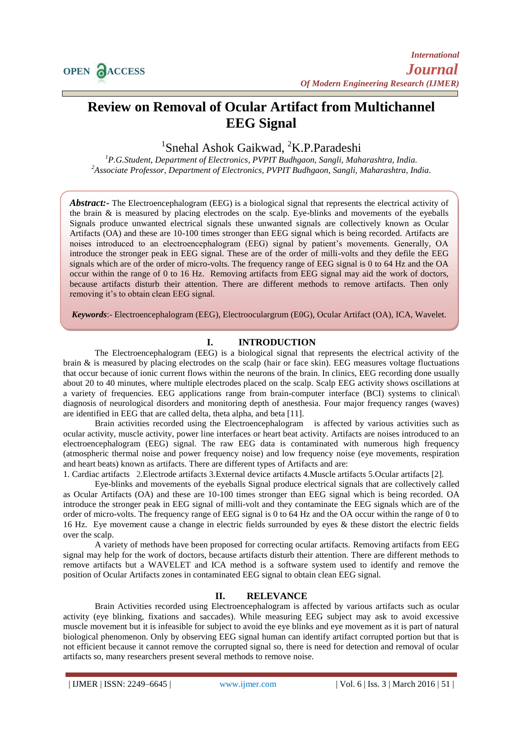# **Review on Removal of Ocular Artifact from Multichannel EEG Signal**

<sup>1</sup>Snehal Ashok Gaikwad, <sup>2</sup>K.P.Paradeshi

*<sup>1</sup>P.G.Student, Department of Electronics, PVPIT Budhgaon, Sangli, Maharashtra, India. <sup>2</sup>Associate Professor, Department of Electronics, PVPIT Budhgaon, Sangli, Maharashtra, India.*

*Abstract:-* The Electroencephalogram (EEG) is a biological signal that represents the electrical activity of the brain & is measured by placing electrodes on the scalp. Eye-blinks and movements of the eyeballs Signals produce unwanted electrical signals these unwanted signals are collectively known as Ocular Artifacts (OA) and these are 10-100 times stronger than EEG signal which is being recorded. Artifacts are noises introduced to an electroencephalogram (EEG) signal by patient's movements. Generally, OA introduce the stronger peak in EEG signal. These are of the order of milli-volts and they defile the EEG signals which are of the order of micro-volts. The frequency range of EEG signal is 0 to 64 Hz and the OA occur within the range of 0 to 16 Hz. Removing artifacts from EEG signal may aid the work of doctors, because artifacts disturb their attention. There are different methods to remove artifacts. Then only removing it's to obtain clean EEG signal.

*Keywords*:- Electroencephalogram (EEG), Electrooculargrum (E0G), Ocular Artifact (OA), ICA, Wavelet.

## **I. INTRODUCTION**

The Electroencephalogram (EEG) is a biological signal that represents the electrical activity of the brain & is measured by placing electrodes on the scalp (hair or face skin). EEG measures voltage fluctuations that occur because of ionic current flows within the [neurons](http://en.wikipedia.org/wiki/Neurons) of the [brain.](http://en.wikipedia.org/wiki/Brain) In clinics, EEG recording done usually about 20 to 40 minutes, where multiple [electrodes](http://en.wikipedia.org/wiki/Electrodes) placed on the [scalp.](http://en.wikipedia.org/wiki/Scalp) Scalp EEG activity shows [oscillations](http://en.wikipedia.org/wiki/Neural_oscillations) at a variety of frequencies. EEG applications range from brain-computer interface (BCI) systems to clinical\ diagnosis of neurological disorders and monitoring depth of anesthesia. Four major frequency ranges (waves) are identified in EEG that are called delta, theta alpha, and beta [11].

Brain activities recorded using the Electroencephalogram is affected by various activities such as ocular activity, muscle activity, power line interfaces or heart beat activity. Artifacts are noises introduced to an electroencephalogram (EEG) signal. The raw EEG data is contaminated with numerous high frequency (atmospheric thermal noise and power frequency noise) and low frequency noise (eye movements, respiration and heart beats) known as artifacts. There are different types of Artifacts and are:

1*.* Cardiac artifacts 2.Electrode artifacts 3*.*External device artifacts 4.Muscle artifacts 5.Ocular artifacts [2].

Eye-blinks and movements of the eyeballs Signal produce electrical signals that are collectively called as Ocular Artifacts (OA) and these are 10-100 times stronger than EEG signal which is being recorded. OA introduce the stronger peak in EEG signal of milli-volt and they contaminate the EEG signals which are of the order of micro-volts. The frequency range of EEG signal is 0 to 64 Hz and the OA occur within the range of 0 to 16 Hz. Eye movement cause a change in electric fields surrounded by eyes & these distort the electric fields over the scalp.

A variety of methods have been proposed for correcting ocular artifacts. Removing artifacts from EEG signal may help for the work of doctors, because artifacts disturb their attention. There are different methods to remove artifacts but a WAVELET and ICA method is a software system used to identify and remove the position of Ocular Artifacts zones in contaminated EEG signal to obtain clean EEG signal.

## **II. RELEVANCE**

Brain Activities recorded using Electroencephalogram is affected by various artifacts such as ocular activity (eye blinking, fixations and saccades). While measuring EEG subject may ask to avoid excessive muscle movement but it is infeasible for subject to avoid the eye blinks and eye movement as it is part of natural biological phenomenon. Only by observing EEG signal human can identify artifact corrupted portion but that is not efficient because it cannot remove the corrupted signal so, there is need for detection and removal of ocular artifacts so, many researchers present several methods to remove noise.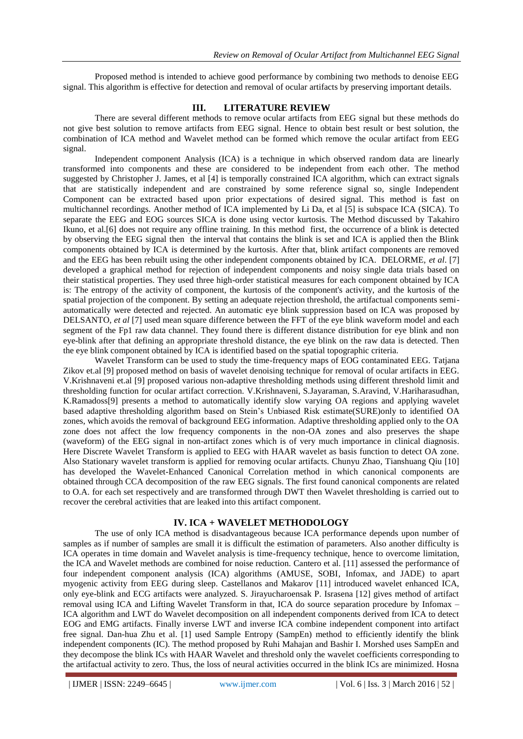Proposed method is intended to achieve good performance by combining two methods to denoise EEG signal. This algorithm is effective for detection and removal of ocular artifacts by preserving important details.

### **III. LITERATURE REVIEW**

There are several different methods to remove ocular artifacts from EEG signal but these methods do not give best solution to remove artifacts from EEG signal. Hence to obtain best result or best solution, the combination of ICA method and Wavelet method can be formed which remove the ocular artifact from EEG signal.

Independent component Analysis (ICA) is a technique in which observed random data are linearly transformed into components and these are considered to be independent from each other. The method suggested by Christopher J. James, et al [4] is temporally constrained ICA algorithm, which can extract signals that are statistically independent and are constrained by some reference signal so, single Independent Component can be extracted based upon prior expectations of desired signal. This method is fast on multichannel recordings. Another method of ICA implemented by Li Da, et al [5] is subspace ICA (SICA). To separate the EEG and EOG sources SICA is done using vector kurtosis. The Method discussed by Takahiro Ikuno, et al.[6] does not require any offline training. In this method first, the occurrence of a blink is detected by observing the EEG signal then the interval that contains the blink is set and ICA is applied then the Blink components obtained by ICA is determined by the kurtosis. After that, blink artifact components are removed and the EEG has been rebuilt using the other independent components obtained by ICA. DELORME, *et al*. [7] developed a graphical method for rejection of independent components and noisy single data trials based on their statistical properties. They used three high-order statistical measures for each component obtained by ICA is: The entropy of the activity of component, the kurtosis of the component's activity, and the kurtosis of the spatial projection of the component. By setting an adequate rejection threshold, the artifactual components semiautomatically were detected and rejected. An automatic eye blink suppression based on ICA was proposed by DELSANTO, *et al* [7] used mean square difference between the FFT of the eye blink waveform model and each segment of the Fp1 raw data channel. They found there is different distance distribution for eye blink and non eye-blink after that defining an appropriate threshold distance, the eye blink on the raw data is detected. Then the eye blink component obtained by ICA is identified based on the spatial topographic criteria.

Wavelet Transform can be used to study the time-frequency maps of EOG contaminated EEG. Tatjana Zikov et.al [9] proposed method on basis of wavelet denoising technique for removal of ocular artifacts in EEG. V.Krishnaveni et.al [9] proposed various non-adaptive thresholding methods using different threshold limit and thresholding function for ocular artifact correction. V.Krishnaveni, S.Jayaraman, S.Aravind, V.Hariharasudhan, K.Ramadoss[9] presents a method to automatically identify slow varying OA regions and applying wavelet based adaptive thresholding algorithm based on Stein's Unbiased Risk estimate(SURE)only to identified OA zones, which avoids the removal of background EEG information. Adaptive thresholding applied only to the OA zone does not affect the low frequency components in the non-OA zones and also preserves the shape (waveform) of the EEG signal in non-artifact zones which is of very much importance in clinical diagnosis. Here Discrete Wavelet Transform is applied to EEG with HAAR wavelet as basis function to detect OA zone. Also Stationary wavelet transform is applied for removing ocular artifacts. Chunyu Zhao, Tianshuang Qiu [10] has developed the Wavelet-Enhanced Canonical Correlation method in which canonical components are obtained through CCA decomposition of the raw EEG signals. The first found canonical components are related to O.A. for each set respectively and are transformed through DWT then Wavelet thresholding is carried out to recover the cerebral activities that are leaked into this artifact component.

## **IV. ICA + WAVELET METHODOLOGY**

The use of only ICA method is disadvantageous because ICA performance depends upon number of samples as if number of samples are small it is difficult the estimation of parameters. Also another difficulty is ICA operates in time domain and Wavelet analysis is time-frequency technique, hence to overcome limitation, the ICA and Wavelet methods are combined for noise reduction. Cantero et al. [11] assessed the performance of four independent component analysis (ICA) algorithms (AMUSE, SOBI, Infomax, and JADE) to apart myogenic activity from EEG during sleep. Castellanos and Makarov [11] introduced wavelet enhanced ICA, only eye-blink and ECG artifacts were analyzed. S. Jirayucharoensak P. Israsena [12] gives method of artifact removal using ICA and Lifting Wavelet Transform in that, ICA do source separation procedure by Infomax – ICA algorithm and LWT do Wavelet decomposition on all independent components derived from ICA to detect EOG and EMG artifacts. Finally inverse LWT and inverse ICA combine independent component into artifact free signal. Dan-hua Zhu et al. [1] used Sample Entropy (SampEn) method to efficiently identify the blink independent components (IC). The method proposed by Ruhi Mahajan and Bashir I. Morshed uses SampEn and they decompose the blink ICs with HAAR Wavelet and threshold only the wavelet coefficients corresponding to the artifactual activity to zero. Thus, the loss of neural activities occurred in the blink ICs are minimized. Hosna